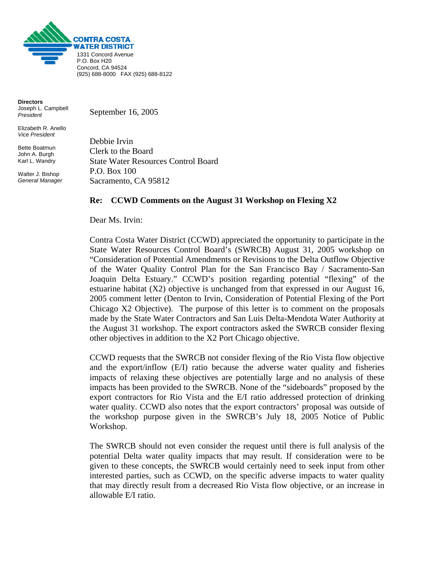

**Directors**  Joseph L. Campbell *President* 

Elizabeth R. Anello *Vice President* 

Bette Boatmun John A. Burgh Karl L. Wandry

Walter J. Bishop *General Manager* September 16, 2005

Debbie Irvin Clerk to the Board State Water Resources Control Board P.O. Box 100 Sacramento, CA 95812

## **Re: CCWD Comments on the August 31 Workshop on Flexing X2**

Dear Ms. Irvin:

Contra Costa Water District (CCWD) appreciated the opportunity to participate in the State Water Resources Control Board's (SWRCB) August 31, 2005 workshop on "Consideration of Potential Amendments or Revisions to the Delta Outflow Objective of the Water Quality Control Plan for the San Francisco Bay / Sacramento-San Joaquin Delta Estuary." CCWD's position regarding potential "flexing" of the estuarine habitat (X2) objective is unchanged from that expressed in our August 16, 2005 comment letter (Denton to Irvin, Consideration of Potential Flexing of the Port Chicago X2 Objective). The purpose of this letter is to comment on the proposals made by the State Water Contractors and San Luis Delta-Mendota Water Authority at the August 31 workshop. The export contractors asked the SWRCB consider flexing other objectives in addition to the X2 Port Chicago objective.

CCWD requests that the SWRCB not consider flexing of the Rio Vista flow objective and the export/inflow (E/I) ratio because the adverse water quality and fisheries impacts of relaxing these objectives are potentially large and no analysis of these impacts has been provided to the SWRCB. None of the "sideboards" proposed by the export contractors for Rio Vista and the E/I ratio addressed protection of drinking water quality. CCWD also notes that the export contractors' proposal was outside of the workshop purpose given in the SWRCB's July 18, 2005 Notice of Public Workshop.

The SWRCB should not even consider the request until there is full analysis of the potential Delta water quality impacts that may result. If consideration were to be given to these concepts, the SWRCB would certainly need to seek input from other interested parties, such as CCWD, on the specific adverse impacts to water quality that may directly result from a decreased Rio Vista flow objective, or an increase in allowable E/I ratio.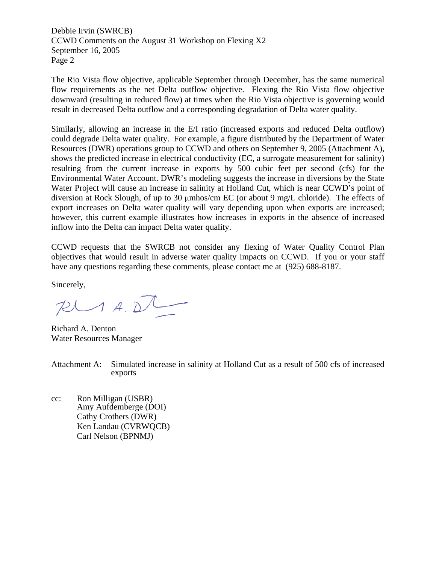Debbie Irvin (SWRCB) CCWD Comments on the August 31 Workshop on Flexing X2 September 16, 2005 Page 2

The Rio Vista flow objective, applicable September through December, has the same numerical flow requirements as the net Delta outflow objective. Flexing the Rio Vista flow objective downward (resulting in reduced flow) at times when the Rio Vista objective is governing would result in decreased Delta outflow and a corresponding degradation of Delta water quality.

Similarly, allowing an increase in the E/I ratio (increased exports and reduced Delta outflow) could degrade Delta water quality. For example, a figure distributed by the Department of Water Resources (DWR) operations group to CCWD and others on September 9, 2005 (Attachment A), shows the predicted increase in electrical conductivity (EC, a surrogate measurement for salinity) resulting from the current increase in exports by 500 cubic feet per second (cfs) for the Environmental Water Account. DWR's modeling suggests the increase in diversions by the State Water Project will cause an increase in salinity at Holland Cut, which is near CCWD's point of diversion at Rock Slough, of up to 30 μmhos/cm EC (or about 9 mg/L chloride). The effects of export increases on Delta water quality will vary depending upon when exports are increased; however, this current example illustrates how increases in exports in the absence of increased inflow into the Delta can impact Delta water quality.

CCWD requests that the SWRCB not consider any flexing of Water Quality Control Plan objectives that would result in adverse water quality impacts on CCWD. If you or your staff have any questions regarding these comments, please contact me at (925) 688-8187.

Sincerely,

 $PLAAD$ 

Richard A. Denton Water Resources Manager

Attachment A: Simulated increase in salinity at Holland Cut as a result of 500 cfs of increased exports

cc: Ron Milligan (USBR) Amy Aufdemberge (DOI) Cathy Crothers (DWR) Ken Landau (CVRWQCB) Carl Nelson (BPNMJ)